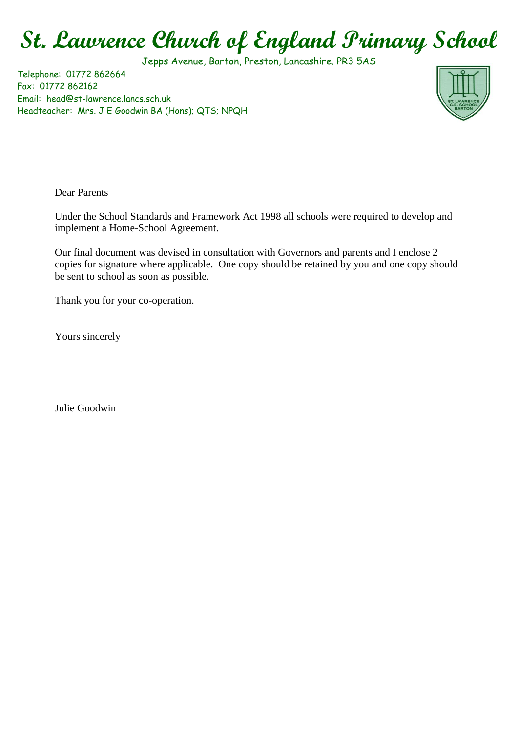## **St. Lawrence Church of England Primary School**

Jepps Avenue, Barton, Preston, Lancashire. PR3 5AS

Telephone: 01772 862664 Fax: 01772 862162 Email: head@st-lawrence.lancs.sch.uk Headteacher: Mrs. J E Goodwin BA (Hons); QTS; NPQH



Dear Parents

Under the School Standards and Framework Act 1998 all schools were required to develop and implement a Home-School Agreement.

Our final document was devised in consultation with Governors and parents and I enclose 2 copies for signature where applicable. One copy should be retained by you and one copy should be sent to school as soon as possible.

Thank you for your co-operation.

Yours sincerely

Julie Goodwin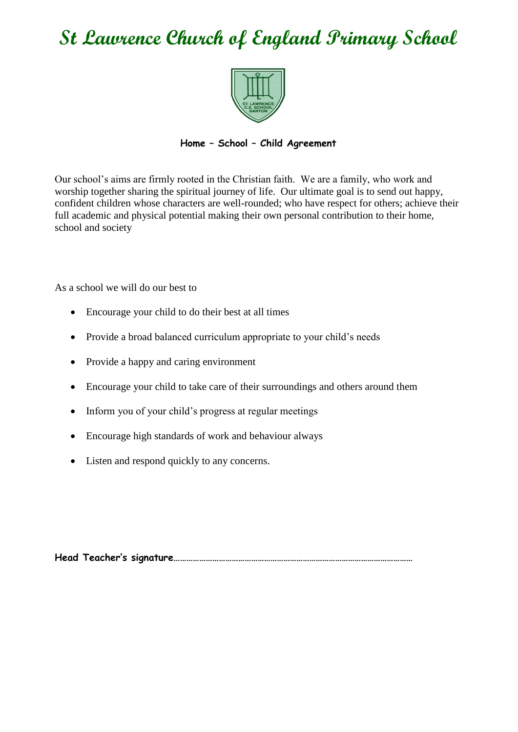## **St Lawrence Church of England Primary School**



## **Home – School – Child Agreement**

Our school's aims are firmly rooted in the Christian faith. We are a family, who work and worship together sharing the spiritual journey of life. Our ultimate goal is to send out happy, confident children whose characters are well-rounded; who have respect for others; achieve their full academic and physical potential making their own personal contribution to their home, school and society

As a school we will do our best to

- Encourage your child to do their best at all times
- Provide a broad balanced curriculum appropriate to your child's needs
- Provide a happy and caring environment
- Encourage your child to take care of their surroundings and others around them
- Inform you of your child's progress at regular meetings
- Encourage high standards of work and behaviour always
- Listen and respond quickly to any concerns.

**Head Teacher's signature…………………………………………………………………………………………………**